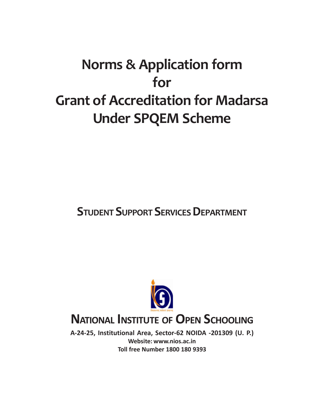# **Norms & Application form for Grant of Accreditation for Madarsa Under SPQEM Scheme**

## **STUDENT SUPPORT SERVICES DEPARTMENT**



## **NATIONAL INSTITUTE OF OPEN SCHOOLING**

**A-24-25, Institutional Area, Sector-62 NOIDA -201309 (U. P.) Website: www.nios.ac.in Toll free Number 1800 180 9393**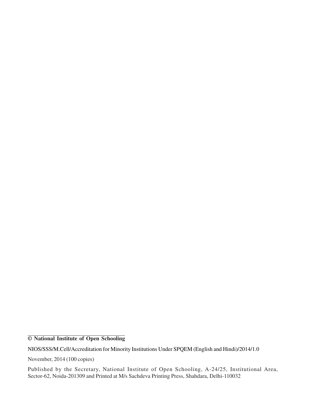**© National Institute of Open Schooling**

NIOS/SSS/M.Cell/Accreditation for Minority Institutions Under SPQEM (English and Hindi)/2014/1.0

November, 2014 (100 copies)

Published by the Secretary, National Institute of Open Schooling, A-24/25, Institutional Area, Sector-62, Noida-201309 and Printed at M/s Sachdeva Printing Press, Shahdara, Delhi-110032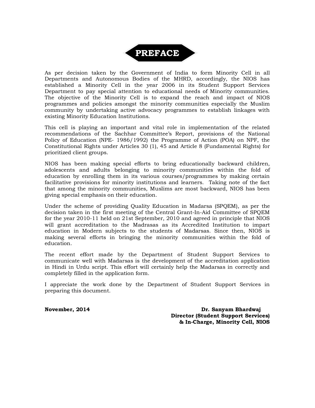

As per decision taken by the Government of India to form Minority Cell in all Departments and Autonomous Bodies of the MHRD, accordingly, the NIOS has established a Minority Cell in the year 2006 in its Student Support Services Department to pay special attention to educational needs of Minority communities. The objective of the Minority Cell is to expand the reach and impact of NIOS programmes and policies amongst the minority communities especially the Muslim community by undertaking active advocacy programmes to establish linkages with existing Minority Education Institutions.

This cell is playing an important and vital role in implementation of the related recommendations of the Sachhar Committee's Report, provisions of the National Policy of Education (NPE- 1986/1992) the Programme of Action (POA) on NPF, the Constitutional Rights under Articles 30 (1), 45 and Article 8 (Fundamental Rights) for prioritized client groups.

NIOS has been making special efforts to bring educationally backward children, adolescents and adults belonging to minority communities within the fold of education by enrolling them in its various courses/programmes by making certain facilitative provisions for minority institutions and learners. Taking note of the fact that among the minority communities, Muslims are most backward, NIOS has been giving special emphasis on their education.

Under the scheme of providing Quality Education in Madarsa (SPQEM), as per the decision taken in the first meeting of the Central Grant-In-Aid Committee of SPQEM for the year 2010-11 held on 21st September, 2010 and agreed in principle that NIOS will grant accreditation to the Madrasas as its Accredited Institution to impart education in Modern subjects to the students of Madarsas. Since then, NIOS is making several efforts in bringing the minority communities within the fold of education.

The recent effort made by the Department of Student Support Services to communicate well with Madarsas is the development of the accreditation application in Hindi in Urdu script. This effort will certainly help the Madarsas in correctly and completely filled in the application form.

I appreciate the work done by the Department of Student Support Services in preparing this document.

**November, 2014 Dr. Sanyam Bhardwaj Director (Student Support Services) & In-Charge, Minority Cell, NIOS**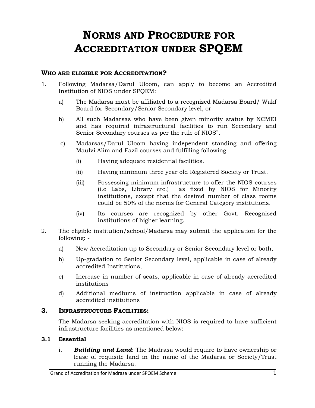## **NORMS AND PROCEDURE FOR ACCREDITATION UNDER SPQEM**

#### **WHO ARE ELIGIBLE FOR ACCREDITATION?**

- 1. Following Madarsa/Darul Uloom, can apply to become an Accredited Institution of NIOS under SPQEM:
	- a) The Madarsa must be affiliated to a recognized Madarsa Board/ Wakf Board for Secondary/Senior Secondary level, or
	- b) All such Madarsas who have been given minority status by NCMEI and has required infrastructural facilities to run Secondary and Senior Secondary courses as per the rule of NIOS".
	- c) Madarsas/Darul Uloom having independent standing and offering Maulvi Alim and Fazil courses and fulfilling following:-
		- (i) Having adequate residential facilities.
		- (ii) Having minimum three year old Registered Society or Trust.
		- (iii) Possessing minimum infrastructure to offer the NIOS courses (i.e Labs, Library etc.) as fixed by NIOS for Minority institutions, except that the desired number of class rooms could be 50% of the norms for General Category institutions.
		- (iv) Its courses are recognized by other Govt. Recognised institutions of higher learning.
- 2. The eligible institution/school/Madarsa may submit the application for the following:
	- a) New Accreditation up to Secondary or Senior Secondary level or both,
	- b) Up-gradation to Senior Secondary level, applicable in case of already accredited Institutions,
	- c) Increase in number of seats, applicable in case of already accredited institutions
	- d) Additional mediums of instruction applicable in case of already accredited institutions

#### **3. INFRASTRUCTURE FACILITIES:**

The Madarsa seeking accreditation with NIOS is required to have sufficient infrastructure facilities as mentioned below:

#### **3.1 Essential**

i. *Building and Land*: The Madrasa would require to have ownership or lease of requisite land in the name of the Madarsa or Society/Trust running the Madarsa.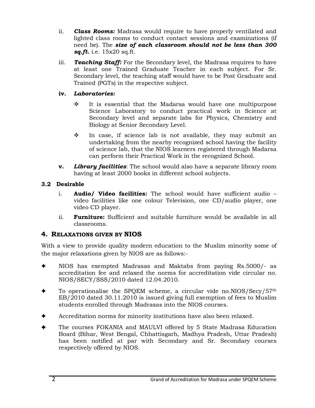- ii. *Class Rooms:* Madrasa would require to have properly ventilated and lighted class rooms to conduct contact sessions and examinations (if need be). The *size of each classroom should not be less than 300 sq.ft.* i.e. 15x20 sq.ft.
- iii. *Teaching Staff:* For the Secondary level, the Madrasa requires to have at least one Trained Graduate Teacher in each subject. For Sr. Secondary level, the teaching staff would have to be Post Graduate and Trained (PGTs) in the respective subject.

#### **iv.** *Laboratories:*

- $\div$  It is essential that the Madarsa would have one multipurpose Science Laboratory to conduct practical work in Science at Secondary level and separate labs for Physics, Chemistry and Biology at Senior Secondary Level.
- $\div$  In case, if science lab is not available, they may submit an undertaking from the nearby recognized school having the facility of science lab, that the NIOS learners registered through Madarsa can perform their Practical Work in the recognized School.
- **v.** *Library facilities*: The school would also have a separate library room having at least 2000 books in different school subjects.

#### **3.2 Desirable**

- i. **Audio/ Video facilities:** The school would have sufficient audio video facilities like one colour Television, one CD/audio player, one video CD player.
- ii. **Furniture:** Sufficient and suitable furniture would be available in all classrooms.

#### **4. RELAXATIONS GIVEN BY NIOS**

With a view to provide quality modern education to the Muslim minority some of the major relaxations given by NIOS are as follows:-

- ✦ NIOS has exempted Madrasas and Maktabs from paying Rs.5000/- as accreditation fee and relaxed the norms for accreditation vide circular no. NIOS/SECY/SSS/2010 dated 12.04.2010.
- To operationalise the SPQEM scheme, a circular vide no.NIOS/Secy/57<sup>th</sup> EB/2010 dated 30.11.2010 is issued giving full exemption of fees to Muslim students enrolled through Madrasas into the NIOS courses.
- ✦ Accreditation norms for minority institutions have also been relaxed.
- The courses FOKANIA and MAULVI offered by 5 State Madrasa Education Board (Bihar, West Bengal, Chhattisgarh, Madhya Pradesh, Uttar Pradesh) has been notified at par with Secondary and Sr. Secondary courses respectively offered by NIOS.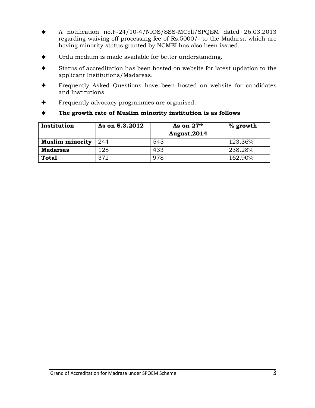- ✦ A notification no.F-24/10-4/NIOS/SSS-MCell/SPQEM dated 26.03.2013 regarding waiving off processing fee of Rs.5000/- to the Madarsa which are having minority status granted by NCMEI has also been issued.
- Urdu medium is made available for better understanding.
- Status of accreditation has been hosted on website for latest updation to the applicant Institutions/Madarsas.
- Frequently Asked Questions have been hosted on website for candidates and Institutions.
- Frequently advocacy programmes are organised.
- ✦ **The growth rate of Muslim minority institution is as follows**

| Institution            | As on 5.3.2012 | As on 27th<br>August, 2014 | $%$ growth |
|------------------------|----------------|----------------------------|------------|
| <b>Muslim minority</b> | 244            | 545                        | 123.36%    |
| <b>Madarsas</b>        | 128            | 433                        | 238.28%    |
| <b>Total</b>           | 372            | 978                        | 162.90%    |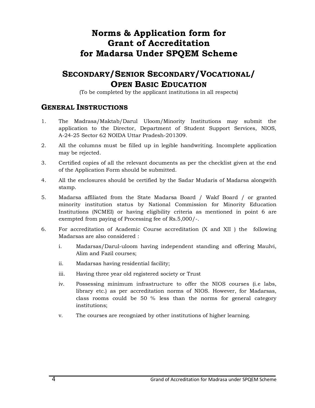### **Norms & Application form for Grant of Accreditation for Madarsa Under SPQEM Scheme**

### **SECONDARY/SENIOR SECONDARY/VOCATIONAL/ OPEN BASIC EDUCATION**

(To be completed by the applicant institutions in all respects)

#### **GENERAL INSTRUCTIONS**

- 1. The Madrasa/Maktab/Darul Uloom/Minority Institutions may submit the application to the Director, Department of Student Support Services, NIOS, A-24-25 Sector 62 NOIDA Uttar Pradesh-201309.
- 2. All the columns must be filled up in legible handwriting. Incomplete application may be rejected.
- 3. Certified copies of all the relevant documents as per the checklist given at the end of the Application Form should be submitted.
- 4. All the enclosures should be certified by the Sadar Mudaris of Madarsa alongwith stamp.
- 5. Madarsa affiliated from the State Madarsa Board / Wakf Board / or granted minority institution status by National Commission for Minority Education Institutions (NCMEI) or having eligibility criteria as mentioned in point 6 are exempted from paying of Processing fee of Rs.5,000/-.
- 6. For accreditation of Academic Course accreditation (X and XII ) the following Madarsas are also considered :
	- i. Madarsas/Darul-uloom having independent standing and offering Maulvi, Alim and Fazil courses;
	- ii. Madarsas having residential facility;
	- iii. Having three year old registered society or Trust
	- iv. Possessing minimum infrastructure to offer the NIOS courses (i.e labs, library etc.) as per accreditation norms of NIOS. However, for Madarsas, class rooms could be 50 % less than the norms for general category institutions;
	- v. The courses are recognized by other institutions of higher learning.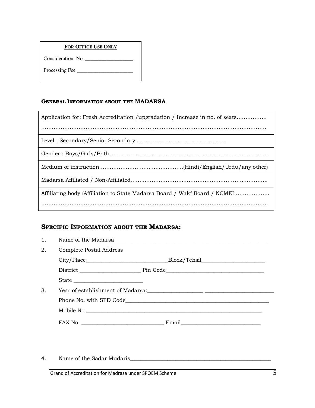#### **FOR OFFICE USE ONLY**

Consideration No. \_\_\_\_\_\_\_\_\_\_\_\_\_\_\_\_\_\_

Processing Fee \_\_\_\_\_\_\_\_\_\_\_\_\_\_\_\_\_\_\_\_\_

#### **GENERAL INFORMATION ABOUT THE MADARSA**

| Application for: Fresh Accreditation /upgradation / Increase in no. of seats |
|------------------------------------------------------------------------------|
|                                                                              |
|                                                                              |
|                                                                              |
|                                                                              |
|                                                                              |
| Affiliating body (Affiliation to State Madarsa Board / Wakf Board / NCMEI    |
|                                                                              |

#### **SPECIFIC INFORMATION ABOUT THE MADARSA:**

| 1. |                         | Name of the Madarsa 2012 2022 2023 2024 2022 2023 2024 2022 2023 2024 2022 2023 2024 2022 2023 2024 2022 2023 20 |
|----|-------------------------|------------------------------------------------------------------------------------------------------------------|
| 2. | Complete Postal Address |                                                                                                                  |
|    |                         |                                                                                                                  |
|    |                         |                                                                                                                  |
|    | State                   |                                                                                                                  |
| 3. |                         |                                                                                                                  |
|    |                         |                                                                                                                  |
|    |                         |                                                                                                                  |
|    |                         |                                                                                                                  |

4. Name of the Sadar Mudaris\_\_\_\_\_\_\_\_\_\_\_\_\_\_\_\_\_\_\_\_\_\_\_\_\_\_\_\_\_\_\_\_\_\_\_\_\_\_\_\_\_\_\_\_\_\_\_\_\_\_\_\_\_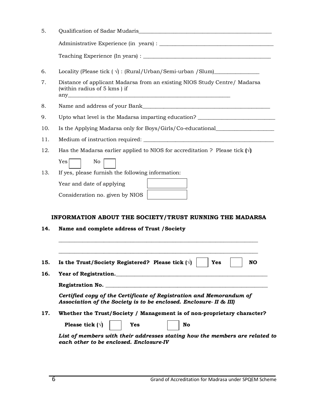| 5.  |                                                                                                                                           |  |  |
|-----|-------------------------------------------------------------------------------------------------------------------------------------------|--|--|
|     |                                                                                                                                           |  |  |
|     |                                                                                                                                           |  |  |
| 6.  | Locality (Please tick $(\sqrt{})$ : (Rural/Urban/Semi-urban /Slum)                                                                        |  |  |
| 7.  | Distance of applicant Madarsa from an existing NIOS Study Centre/ Madarsa<br>(within radius of 5 kms) if                                  |  |  |
| 8.  |                                                                                                                                           |  |  |
| 9.  | Upto what level is the Madarsa imparting education?                                                                                       |  |  |
| 10. | Is the Applying Madarsa only for Boys/Girls/Co-educational                                                                                |  |  |
| 11. |                                                                                                                                           |  |  |
| 12. | Has the Madarsa earlier applied to NIOS for accreditation ? Please tick $(\sqrt{})$                                                       |  |  |
|     | Yes<br>No.                                                                                                                                |  |  |
| 13. | If yes, please furnish the following information:                                                                                         |  |  |
|     | Year and date of applying                                                                                                                 |  |  |
|     | Consideration no. given by NIOS                                                                                                           |  |  |
|     |                                                                                                                                           |  |  |
|     | INFORMATION ABOUT THE SOCIETY/TRUST RUNNING THE MADARSA                                                                                   |  |  |
| 14. | Name and complete address of Trust / Society                                                                                              |  |  |
|     |                                                                                                                                           |  |  |
|     |                                                                                                                                           |  |  |
| 15. | Is the Trust/Society Registered? Please tick $(\sqrt{ } )$<br>Yes<br><b>NO</b>                                                            |  |  |
| 16. | Year of Registration.                                                                                                                     |  |  |
|     | Registration No.                                                                                                                          |  |  |
|     | Certified copy of the Certificate of Registration and Memorandum of<br>Association of the Society is to be enclosed. Enclosure- II & III) |  |  |
| 17. | Whether the Trust/Society / Management is of non-proprietary character?                                                                   |  |  |
|     | Please tick $(\forall)$<br>No<br>Yes                                                                                                      |  |  |
|     | List of members with their addresses stating how the members are related to<br>each other to be enclosed. Enclosure-IV                    |  |  |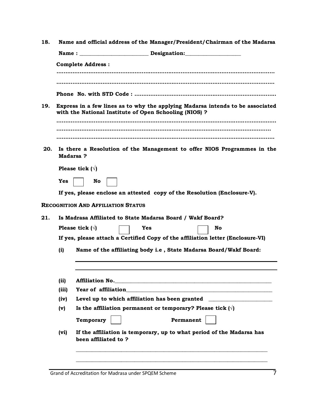| 18.                                                                                                                                             | Name and official address of the Manager/President/Chairman of the Madarsa          |                                                                                                                                                                        |  |  |  |  |  |
|-------------------------------------------------------------------------------------------------------------------------------------------------|-------------------------------------------------------------------------------------|------------------------------------------------------------------------------------------------------------------------------------------------------------------------|--|--|--|--|--|
|                                                                                                                                                 |                                                                                     |                                                                                                                                                                        |  |  |  |  |  |
|                                                                                                                                                 |                                                                                     | <b>Complete Address:</b>                                                                                                                                               |  |  |  |  |  |
|                                                                                                                                                 |                                                                                     |                                                                                                                                                                        |  |  |  |  |  |
|                                                                                                                                                 |                                                                                     |                                                                                                                                                                        |  |  |  |  |  |
|                                                                                                                                                 |                                                                                     |                                                                                                                                                                        |  |  |  |  |  |
| 19.<br>Express in a few lines as to why the applying Madarsa intends to be associated<br>with the National Institute of Open Schooling (NIOS) ? |                                                                                     |                                                                                                                                                                        |  |  |  |  |  |
|                                                                                                                                                 |                                                                                     |                                                                                                                                                                        |  |  |  |  |  |
|                                                                                                                                                 |                                                                                     |                                                                                                                                                                        |  |  |  |  |  |
|                                                                                                                                                 |                                                                                     |                                                                                                                                                                        |  |  |  |  |  |
| 20.                                                                                                                                             | Is there a Resolution of the Management to offer NIOS Programmes in the<br>Madarsa? |                                                                                                                                                                        |  |  |  |  |  |
|                                                                                                                                                 |                                                                                     | Please tick $(\forall)$                                                                                                                                                |  |  |  |  |  |
|                                                                                                                                                 | Yes                                                                                 | No                                                                                                                                                                     |  |  |  |  |  |
|                                                                                                                                                 |                                                                                     | If yes, please enclose an attested copy of the Resolution (Enclosure-V).                                                                                               |  |  |  |  |  |
|                                                                                                                                                 |                                                                                     | <b>RECOGNITION AND AFFILIATION STATUS</b>                                                                                                                              |  |  |  |  |  |
| 21.                                                                                                                                             | Is Madrasa Affiliated to State Madarsa Board / Wakf Board?                          |                                                                                                                                                                        |  |  |  |  |  |
|                                                                                                                                                 |                                                                                     | Please tick $(\forall)$<br>Yes<br>No                                                                                                                                   |  |  |  |  |  |
|                                                                                                                                                 |                                                                                     | If yes, please attach a Certified Copy of the affiliation letter (Enclosure-VI)                                                                                        |  |  |  |  |  |
|                                                                                                                                                 |                                                                                     |                                                                                                                                                                        |  |  |  |  |  |
|                                                                                                                                                 | (i)                                                                                 | Name of the affiliating body i.e, State Madarsa Board/Wakf Board:                                                                                                      |  |  |  |  |  |
|                                                                                                                                                 |                                                                                     |                                                                                                                                                                        |  |  |  |  |  |
|                                                                                                                                                 | (ii)                                                                                |                                                                                                                                                                        |  |  |  |  |  |
|                                                                                                                                                 | (iii)                                                                               |                                                                                                                                                                        |  |  |  |  |  |
|                                                                                                                                                 | (iv)                                                                                | Level up to which affiliation has been granted<br><u> 1980 - Jan Stein Stein Stein Stein Stein Stein Stein Stein Stein Stein Stein Stein Stein Stein Stein Stein S</u> |  |  |  |  |  |
|                                                                                                                                                 | (v)                                                                                 | Is the affiliation permanent or temporary? Please tick $(\forall)$                                                                                                     |  |  |  |  |  |
|                                                                                                                                                 |                                                                                     | Permanent<br>Temporary                                                                                                                                                 |  |  |  |  |  |
|                                                                                                                                                 | (vi)                                                                                | If the affiliation is temporary, up to what period of the Madarsa has<br>been affiliated to ?                                                                          |  |  |  |  |  |
|                                                                                                                                                 |                                                                                     |                                                                                                                                                                        |  |  |  |  |  |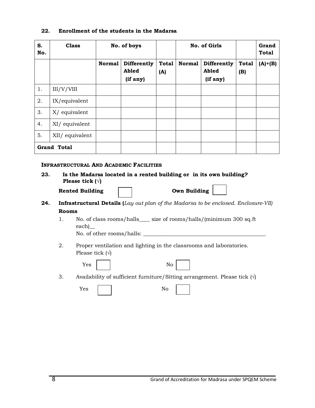#### **22. Enrollment of the students in the Madarsa**

| S.<br>No. | <b>Class</b>       | No. of boys   |                                  |                     | No. of Girls  |                                  |                     | Grand<br><b>Total</b> |
|-----------|--------------------|---------------|----------------------------------|---------------------|---------------|----------------------------------|---------------------|-----------------------|
|           |                    | <b>Normal</b> | Differently<br>Abled<br>(if any) | <b>Total</b><br>(A) | <b>Normal</b> | Differently<br>Abled<br>(if any) | <b>Total</b><br>(B) | $(A)+(B)$             |
| 1.        | III/V/VIII         |               |                                  |                     |               |                                  |                     |                       |
| 2.        | IX/equivalent      |               |                                  |                     |               |                                  |                     |                       |
| 3.        | X/ equivalent      |               |                                  |                     |               |                                  |                     |                       |
| 4.        | XI/ equivalent     |               |                                  |                     |               |                                  |                     |                       |
| 5.        | XII/ equivalent    |               |                                  |                     |               |                                  |                     |                       |
|           | <b>Grand Total</b> |               |                                  |                     |               |                                  |                     |                       |

#### **INFRASTRUCTURAL AND ACADEMIC FACILITIES**

| 23. | Is the Madarsa located in a rented building or in its own building? |
|-----|---------------------------------------------------------------------|
|     | Please tick $(\forall)$                                             |

| <b>Rented Building</b> |  | <b>Own Building</b> |
|------------------------|--|---------------------|
|------------------------|--|---------------------|

| <b>Own Building</b> |
|---------------------|
|---------------------|

- **24. Infrastructural Details (***Lay out plan of the Madarsa to be enclosed. Enclosure-VII)*  **Rooms** 
	- 1. No. of class rooms/halls\_\_\_\_ size of rooms/halls/(minimum 300 sq.ft each)\_\_ No. of other rooms/halls: \_\_\_\_\_\_\_\_\_\_\_\_\_\_\_\_\_\_\_\_\_\_\_\_\_\_\_\_\_\_\_\_\_\_\_\_\_\_\_\_\_\_\_\_\_\_
	- 2. Proper ventilation and lighting in the classrooms and laboratories. Please tick  $(\forall)$

| Yes | No |
|-----|----|
|-----|----|

3. Availability of sufficient furniture/Sitting arrangement. Please tick  $(\forall)$ 

| Yes | No |
|-----|----|
|     |    |

|--|--|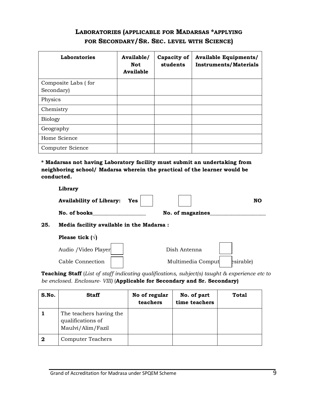### **LABORATORIES (APPLICABLE FOR MADARSAS \*APPLYING FOR SECONDARY/SR. SEC. LEVEL WITH SCIENCE)**

| Laboratories        | Available/<br>Not<br>Available | Capacity of<br>students | <b>Available Equipments/</b><br><b>Instruments/Materials</b> |
|---------------------|--------------------------------|-------------------------|--------------------------------------------------------------|
| Composite Labs (for |                                |                         |                                                              |
| Secondary)          |                                |                         |                                                              |
| Physics             |                                |                         |                                                              |
| Chemistry           |                                |                         |                                                              |
| <b>Biology</b>      |                                |                         |                                                              |
| Geography           |                                |                         |                                                              |
| Home Science        |                                |                         |                                                              |
| Computer Science    |                                |                         |                                                              |

**\* Madarsas not having Laboratory facility must submit an undertaking from neighboring school/ Madarsa wherein the practical of the learner would be conducted.** 

|     | Library                                  |                  |           |
|-----|------------------------------------------|------------------|-----------|
|     | Availability of Library: Yes $\vert$     |                  | <b>NO</b> |
|     | No. of books                             | No. of magazines |           |
| 25. | Media facility available in the Madarsa: |                  |           |
|     | Please tick $(\forall)$                  |                  |           |
|     |                                          |                  |           |

| Audio / Video Player | Dish Antenna      |           |
|----------------------|-------------------|-----------|
| Cable Connection     | Multimedia Comput | esirable) |

**Teaching Staff** (*List of staff indicating qualifications, subject(s) taught & experience etc to be enclosed. Enclosure- VIII)* (**Applicable for Secondary and Sr. Secondary)** 

| S.No. | <b>Staff</b>                                                      | No of regular<br>teachers | No. of part<br>time teachers | Total |
|-------|-------------------------------------------------------------------|---------------------------|------------------------------|-------|
|       | The teachers having the<br>qualifications of<br>Maulvi/Alim/Fazil |                           |                              |       |
| 2     | Computer Teachers                                                 |                           |                              |       |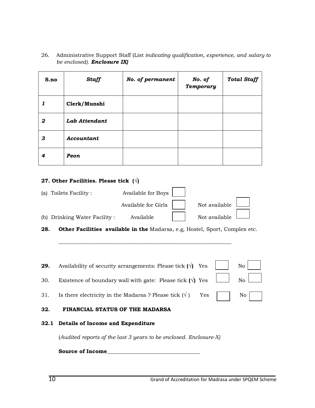26. Administrative Support Staff (List *indicating qualification, experience, and salary to be enclosed). Enclosure IX)* 

| S.no | <b>Staff</b>  | No. of permanent | No. of<br><b>Temporary</b> | <b>Total Staff</b> |
|------|---------------|------------------|----------------------------|--------------------|
| 1    | Clerk/Munshi  |                  |                            |                    |
| 2    | Lab Attendant |                  |                            |                    |
| 3    | Accountant    |                  |                            |                    |
| 4    | Peon          |                  |                            |                    |

#### **27. Other Facilities. Please tick (√)**

|      | (a) Toilets Facility:                                                       | Available for Boys  |               |    |
|------|-----------------------------------------------------------------------------|---------------------|---------------|----|
|      |                                                                             | Available for Girls | Not available |    |
|      | (b) Drinking Water Facility :                                               | Available           | Not available |    |
| 28.  | Other Facilities available in the Madarsa, e.g, Hostel, Sport, Complex etc. |                     |               |    |
|      |                                                                             |                     |               |    |
|      |                                                                             |                     |               |    |
| 29.  | Availability of security arrangements: Please tick $(\sqrt{)}$ Yes          |                     |               | No |
| 30.  | Existence of boundary wall with gate: Please tick $(\sqrt{})$ Yes           |                     |               | No |
| 31.  | Is there electricity in the Madarsa ? Please tick $(\forall)$               |                     | Yes           | No |
| 32.  | FINANCIAL STATUS OF THE MADARSA                                             |                     |               |    |
| 32.1 | Details of Income and Expenditure                                           |                     |               |    |
|      | (Audited reports of the last 3 years to be enclosed. Enclosure-X)           |                     |               |    |
|      | Source of Income                                                            |                     |               |    |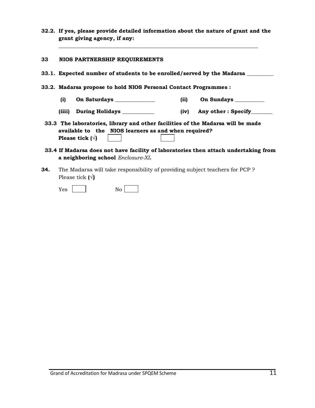**32.2. If yes, please provide detailed information about the nature of grant and the grant giving agency, if any:** 

**\_\_\_\_\_\_\_\_\_\_\_\_\_\_\_\_\_\_\_\_\_\_\_\_\_\_\_\_\_\_\_\_\_\_\_\_\_\_\_\_\_\_\_\_\_\_\_\_\_\_\_\_\_\_\_\_\_\_\_\_\_\_\_\_\_\_\_\_\_\_\_\_\_\_\_** 

#### **33 NIOS PARTNERSHIP REQUIREMENTS**

| 33.1. Expected number of students to be enrolled/served by the Madarsa                                                                                             |                             |  |  |
|--------------------------------------------------------------------------------------------------------------------------------------------------------------------|-----------------------------|--|--|
| 33.2. Madarsa propose to hold NIOS Personal Contact Programmes :                                                                                                   |                             |  |  |
| (i)                                                                                                                                                                | On Sundays<br>(ii)          |  |  |
| (iiii)<br><b>During Holidays</b>                                                                                                                                   | Any other : Specify<br>(iv) |  |  |
| 33.3 The laboratories, library and other facilities of the Madarsa will be made<br>available to the NIOS learners as and when required?<br>Please tick $(\forall)$ |                             |  |  |
| 33.4 If Madarsa does not have facility of laboratories then attach undertaking from<br>a neighboring school Enclosure-XI.                                          |                             |  |  |

**34.** The Madarsa will take responsibility of providing subject teachers for PCP ? Please tick **(√)**

 $Yes \t No$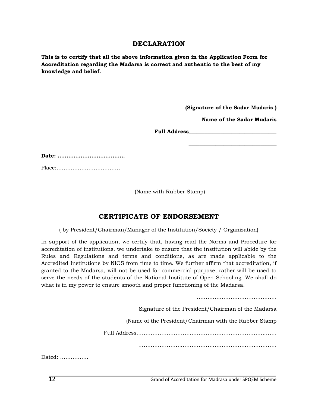#### **DECLARATION**

**This is to certify that all the above information given in the Application Form for Accreditation regarding the Madarsa is correct and authentic to the best of my knowledge and belief.** 

**(Signature of the Sadar Mudaris )** 

**\_\_\_\_\_\_\_\_\_\_\_\_\_\_\_\_\_\_\_\_\_\_\_\_\_\_\_\_\_\_\_\_\_** 

**Name of the Sadar Mudaris** 

**Full Address\_\_\_\_\_\_\_\_\_\_\_\_\_\_\_\_\_\_\_\_\_\_\_\_\_\_\_\_\_\_\_\_\_** 

**\_\_\_\_\_\_\_\_\_\_\_\_\_\_\_\_\_\_\_\_\_\_\_\_\_\_\_\_\_\_\_\_\_\_\_\_\_\_\_\_\_\_\_\_\_\_\_\_\_** 

**Date: ………………………………..** 

Place:………………………………

(Name with Rubber Stamp)

#### **CERTIFICATE OF ENDORSEMENT**

( by President/Chairman/Manager of the Institution/Society / Organization)

In support of the application, we certify that, having read the Norms and Procedure for accreditation of institutions, we undertake to ensure that the institution will abide by the Rules and Regulations and terms and conditions, as are made applicable to the Accredited Institutions by NIOS from time to time. We further affirm that accreditation, if granted to the Madarsa, will not be used for commercial purpose; rather will be used to serve the needs of the students of the National Institute of Open Schooling. We shall do what is in my power to ensure smooth and proper functioning of the Madarsa.

Signature of the President/Chairman of the Madarsa

………………………………………

(Name of the President/Chairman with the Rubber Stamp

Full Address…………………………………………………………………….

……………………………………………………………………

Dated: …………….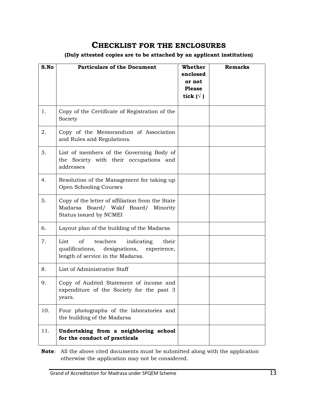### **CHECKLIST FOR THE ENCLOSURES**

#### **(Duly attested copies are to be attached by an applicant institution)**

| S.No | <b>Particulars of the Document</b>                                                                                                 | Whether<br>enclosed<br>or not<br><b>Please</b><br>tick $(\forall)$ | <b>Remarks</b> |
|------|------------------------------------------------------------------------------------------------------------------------------------|--------------------------------------------------------------------|----------------|
| 1.   | Copy of the Certificate of Registration of the<br>Society                                                                          |                                                                    |                |
| 2.   | Copy of the Memorandum of Association<br>and Rules and Regulations.                                                                |                                                                    |                |
| 3.   | List of members of the Governing Body of<br>the Society with their occupations and<br>addresses                                    |                                                                    |                |
| 4.   | Resolution of the Management for taking up<br>Open Schooling Courses                                                               |                                                                    |                |
| 5.   | Copy of the letter of affiliation from the State<br>Madarsa Board/ Wakf Board/ Minority<br>Status issued by NCMEI                  |                                                                    |                |
| 6.   | Layout plan of the building of the Madarsa                                                                                         |                                                                    |                |
| 7.   | List<br>οf<br>teachers<br>indicating<br>their<br>qualifications, designations,<br>experience,<br>length of service in the Madarsa. |                                                                    |                |
| 8.   | List of Administrative Staff                                                                                                       |                                                                    |                |
| 9.   | Copy of Audited Statement of income and<br>expenditure of the Society for the past 3<br>years.                                     |                                                                    |                |
| 10.  | Four photographs of the laboratories and<br>the building of the Madarsa                                                            |                                                                    |                |
| 11.  | Undertaking from a neighboring school<br>for the conduct of practicals                                                             |                                                                    |                |

**Note**: All the above cited documents must be submitted along with the application otherwise the application may not be considered.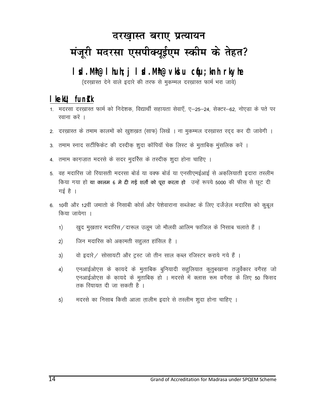## दरखास्त बराए प्रत्यायन मंजूरी मदरसा एसपीक्यूईएम स्कीम के तेहत?

### I sd. Mh@I huh; j I sd. Mh@vki u cqu; knh rkyhe

(दरख़ास्त देने वाले इदारे की तरफ से मुकम्मल दरख़ास्त फार्म भरा जावे)

### $l$  kekU; fundk

- 1. मदरसा दरख़ास्त फार्म को निदेशक, विद्यार्थी सहायता सेवाएँ, ए–25–24, सेक्टर–62, नोएड़ा के पते पर रवाना करें ।
- 2. दरख़ास्त के तमाम कालमों को खुशख़त (साफ) लिखें । ना मुकम्मल दरख़ास्त रदद कर दी जावेगी ।
- 3. तमाम स्नाद सर्टीफिकेट की दस्दीक शुदा कॉपियॉ चेक लिस्ट के मुताबिक मुंसलिक करें ।
- 4. तमाम कागज़ात मदरसे के सदर मुदर्रिस के तस्दीक शुदा होना चाहिए ।
- 5. वह मदारिस जो रियासती मदरसा बोर्ड या वक्फ बोर्ड या एनसीएमईआई से अकलियाती इदारा तस्लीम किया गया हो या कालम 6 मे दी गई शर्तो को पूरा करता हो उन्हें रूपये 5000 की फीस से छूट दी गई है $\vert$
- 6. 10वीं और 12वीं जमातों के निसाबी कोर्स और पेशेवाराना सब्जेक्ट के लिए दर्जेजेल मदारिस को कूबूल किया जायेगा ।
	- खुद मुखतार मदारिस/दारूल उलूम जो मौलवी आलिम फाजिल के निसाब चलाते हैं ।  $1)$
	- जिन मदारिस को अकामती सह़ुलत हांसिल है ।  $2)$
	- वो इदारे / सोसायटी और ट्रस्ट जो तीन साल कब्ल रजिस्टर कराये गये हैं ।  $3)$
	- एनआईओएस के कायदे के मुताबिक बुनियादी सहलियात कुतुबखाना तजुर्वेकार वगैरह जो  $4)$ एनआईओएस के कायदे के मुताबिक हो । मदरसे में क्लास रूम वगैरह के लिए 50 फिसद तक रियायत दी जा सकती है ।
	- मदरसे का निसाब किसी आला तालीम इदारे से तस्लीम शुदा होना चाहिए ।  $5)$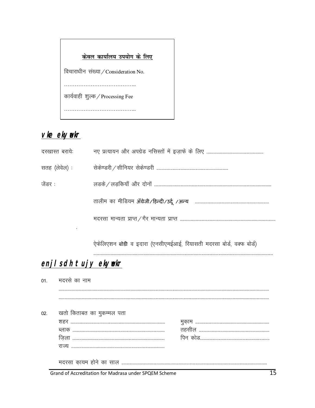| केवल <u>कार्यालय उपयोग के लिए</u>    |
|--------------------------------------|
| विचाराधीन संख्या / Consideration No. |
|                                      |
| कार्यवाही शुल्क / Processing Fee     |
|                                      |

### vke ekyvekr

| दरखास्त बरायेः |  |
|----------------|--|
| सतह (लेवेल) :  |  |
| जेंडर :        |  |
|                |  |
|                |  |
|                |  |

.<br>ऐफेलिएशन बोडी व इदारा (एनसीएमईआई, रियासती मदरसा बोर्ड, वक्फ बोर्ड)

### enjisch tujy ekymekr

|     | 01. मदरसे का नाम          |  |
|-----|---------------------------|--|
|     |                           |  |
|     |                           |  |
| 02. | खतो किताबत का मुकम्मल पता |  |
|     |                           |  |
|     |                           |  |
|     |                           |  |
|     |                           |  |
|     |                           |  |
|     |                           |  |

Grand of Accreditation for Madrasa under SPQEM Scheme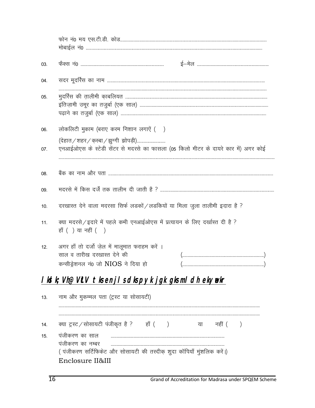| 03. |                                                                                                                            |
|-----|----------------------------------------------------------------------------------------------------------------------------|
| 04. |                                                                                                                            |
| 05. |                                                                                                                            |
| 06. | लोकलिटी मुकाम (बराए करम निशान लगाएें ()                                                                                    |
| 07. | (देहात / शहर / कस्बा / झुग्गी झोपड़ी)<br>एनआईओएस के स्टेडी सेंटर से मदरसे का फासला (05 किलो मीटर के दायरे कार में) अगर कोई |
| 08. |                                                                                                                            |
| 09. |                                                                                                                            |
| 10. | दरखास्त देने वाला मदरसा सिर्फ लडकों / लडकियों या मिला जुला तालीमी इदारा है ?                                               |
| 11. | क्या मदरसे/इदारे में पहले कभी एनआईओएस में प्रत्यायन के लिए दर्खास्त दी है ?<br>हाँ () या नहीं ()                           |
| 12. | अगर हाँ तो दर्जो ज़ेल में मालूमात फराहम करें ।<br>साल व तारीख दरखास्त देने की<br>कन्सीड्रेशनल नं0 जो NIOS ने दिया हो       |
|     | <u>I ki k; Vh@VLV tksenji sdkspyk jgk gksmi dh ekynekr</u>                                                                 |
| 13. | नाम और मुकम्मल पता (ट्रस्ट या सोसायटी)                                                                                     |
| 14. | क्या ट्रस्ट / सोसायटी पंजीकृत है ? हाँ ()<br>या नहीं (<br>$\left( \right)$                                                 |
| 15. | पंजीकरण का साल                                                                                                             |
|     | पंजीकरण का नम्बर                                                                                                           |
|     | (पंजीकरण सर्टिफिकेट और सोसायटी की तस्दीक शुदा कॉपियाँ मुंशलिक करें।)                                                       |
|     | Enclosure II&III                                                                                                           |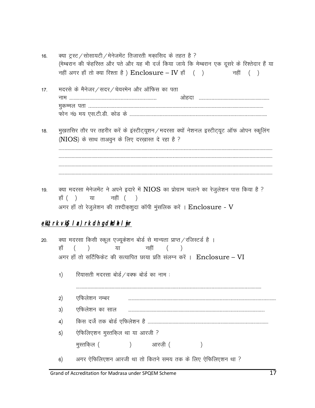| 16. | क्या ट्रस्ट / सोसायटी / मेनेजमेंट तिजारती मकासिद के तहत है ?                                  |  |  |          |
|-----|-----------------------------------------------------------------------------------------------|--|--|----------|
|     | (मेम्बरान की फेहरिस्त और पते और यह भी दर्ज किया जाये कि मेम्बरान एक दूसरे के रिश्तेदार हैं या |  |  |          |
|     | नहीं अगर हाँ तो क्या रिश्ता है ) $\rm{Enclosure}$ – IV हाँ ( )                                |  |  | नहीं ( ) |

- 17. मदरसे के मैनेजर / सदर / चेयरमेन और ऑफिस का पता *uke ----------------------------------------------------------------------------- vk sgnk ------------------------------------------------------------- e qdEey irk ---------------------------------------------------------------------------------------------------------------------------------------------------------- Qk su u a0 e; ,l-Vh-Mh- dk sM ds -------------------------------------------------------------------------------------------------------------------------*
- *18- e q[+krflj rk Sj ij rgjhj dj sa d s baLVhV ~;w'ku@enjlk D;k sa u s'kuy bLVhV~;wV vk WQ vk siu Ld wfy ax (NIOS)* के साथ ताअवुन के लिए दरख़ास्त दे रहा है ?

*-------------------------------------------------------------------------------------------------------------------------------------------------------------------------------------------- -------------------------------------------------------------------------------------------------------------------------------------------------------------------------------------------- --------------------------------------------------------------------------------------------------------------------------------------------------------------------------------------------* 

19. *व*या मदरसा मेनेजमेंट ने अपने इदारे में NIOS का प्रोग्राम चलाने का रेजूलेशन पास किया है ? हाँ *()* या नहीं () *vxj gk¡ rks jst qy s'ku dh r'nhd+'k qnk dkWih e qalfyd djsa A* Enclosure - V

#### **ekU; rk vkg l x) rk dh gdhdh l yr**

- 20. *क्या मदरसा किसी स्कूल एज्यूकेशन बोर्ड से मान्यता प्राप्त / रजिस्टर्ड है।* हाँ ( ) या नहीं ( ) *vxj gk¡ rks lfVZfQd sV dh lR;kfir Nk;k izfr layXu djsa A* Enclosure – VI
	- 1) हियासती मदरसा बोर्ड / वक्फ बोर्ड का नाम :

*2½ ,fQy s'ku uEcj ---------------------------------------------------------------------------------------------------------------------------------- 3½ ,fQy s'ku dk lky ------------------------------------------------------------------------------------------------------------------------ 4½ fdl ntsZ rd ck sM Z ,fQy s'ku gS ----------------------------------------------------------------------------------------------------------*  5) रेफिलिएशन मुस्तकिल था या आरजी ?

- मुस्तकिल () अारज़ी () <u>भ</u>ुस्तकिल () अगरज़ी () ।
- 6) अगर ऐफिलिएशन आरजी था तो कितने समय तक के लिए ऐफिलिएशन था ?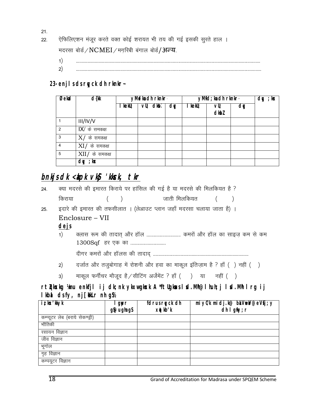*21-*

- 22. ऐफिलिएशन मंजूर करते वक्त कोई शरायत भी तय की गई इसकी सुरते हाल । मदरसा बोर्ड / NCMEI / मगरिबी बंगाल बोर्ड / अन्य.
	- *1½ ------------------------------------------------------------------------------------------------------------------------------------------------------------------*
	- *2½ -------------------------------------------------------------------------------------------------------------------------------------------------------------------*

**23- enjls ds rqyck dh rknkr~** 

| Øekad          | d{kk             | yMelka dh rknkr |            | yMfd; ka dh rknkr |         |             | $dy$ ; kx |  |
|----------------|------------------|-----------------|------------|-------------------|---------|-------------|-----------|--|
|                |                  | kekU;           | $VU$ ; dkb | dy                | I kekU; | vU;<br>dkbl | dM        |  |
|                | III/IV/V         |                 |            |                   |         |             |           |  |
| 2              | $IX/$ के समकक्ष  |                 |            |                   |         |             |           |  |
| 3              | $X/$ के समकक्ष   |                 |            |                   |         |             |           |  |
| $\overline{4}$ | $XI/$ के समकक्ष  |                 |            |                   |         |             |           |  |
| 5              | $XII/$ के समकक्ष |                 |            |                   |         |             |           |  |
|                | ; kx<br>dy       |                 |            |                   |         |             |           |  |

### **bnkjs dk <apk vkg 'kkck, tkr**

| 24. |      | क्या मदरसे की इमारत किराये पर हांसिल की गई है या मदरसे की मिलकियत है ?                                                                |
|-----|------|---------------------------------------------------------------------------------------------------------------------------------------|
|     |      | किराया () जाती मिलकियत ()                                                                                                             |
| 25. |      | इदारे की इमारत की तफसीलात । (लेआउट प्लान जहाँ मदरसा चलाया जाता है) ।                                                                  |
|     |      | Enclosure – VII                                                                                                                       |
|     | dejs |                                                                                                                                       |
|     | 1)   | क्लास रूम की तादात् और हॉल  कमरों और हॉल का साइज़ कम से कम                                                                            |
|     |      |                                                                                                                                       |
|     |      |                                                                                                                                       |
|     |      | $\mathcal{L}$ , and $\mathcal{L}$ , and $\mathcal{L}$ , and $\mathcal{L}$ , and $\mathcal{L}$ , and $\mathcal{L}$ , and $\mathcal{L}$ |

- 2) दर्जात और तजुबोगाह में रोशनी और हवा का माकूल इंतिज़ाम है ? हाँ () नहीं ()
- 3) माकूल फर्नीचर मौजूद है / सीटिंग अर्जेमेंट ? हाँ () या नहीं ()

**rtZqcksxkg ¼mu enkfjl ij dk;nk ykxw gksxk A \*ftUgksaus lsd.Mªh@lhuh;j lsd.Mªh lrg ij lkbal ds fy, nj[+kkLr nh gS½** 

| iz kx'kkyk                      | gwr         | fdrus ryck dh | mi y $C/k$ mi dj.k@ biVeV@eVfj; y |
|---------------------------------|-------------|---------------|-----------------------------------|
|                                 | g\$@ughag\$ | xatkb'k       | dh I griy; r                      |
| कम्प्यूटर लेब (बराये सेकण्ड्री) |             |               |                                   |
| भौतिकी                          |             |               |                                   |
| रसायन विज्ञान                   |             |               |                                   |
| जीव विज्ञान                     |             |               |                                   |
| भूगोल                           |             |               |                                   |
| गृह विज्ञान                     |             |               |                                   |
| कम्पयूटर विज्ञान                |             |               |                                   |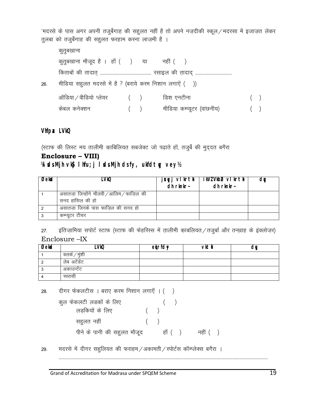'मदरसे के पास अगर अपनी तजुर्बेगाह की सहुलत नहीं है तो अपने नज़दीकी स्कूल / मदरसा में इजाज़त लेकर तुलबा को तजुर्बेगाह की सहुलत फरहाम करना लाज़मी है ।

|     | कुतुबखाना                                               |   |                            |   |
|-----|---------------------------------------------------------|---|----------------------------|---|
|     | कुतुबखाना मौजूद है । हाँ () या नहीं ()                  |   |                            |   |
|     |                                                         |   |                            |   |
| 26. | मीडिया सहुलत मदरसे में है ? (बराये करम निशान लगाएें ()) |   |                            |   |
|     | ऑडिया $\angle$ वीडियो प्लेयर $($ $)$                    |   | डिश एनटीना                 | ( |
|     | कंबल कर्नेक्शन                                          | ( | मीडिया कम्प्यूटर (वांछनीय) |   |

Vhfpax LVkQ

(स्टाफ की लिस्ट मय तालीमी काबिलियत सबजेक्ट जो पढ़ाते हों, तजुर्बे की मुद्दत बगैरा

### Enclosure - VIII)

कुल

#### WicksMjh vkg Ihfu; j IsdsMjh dsfy, ukfdtyy veyh

| Øekad | _VkQ                                      | j¤gyj vlkrtk  <br>$dh$ rknkr $\sim$ | ikVIVkbe vlkrt <del>k</del><br>$dh$ rknkr- | dM |
|-------|-------------------------------------------|-------------------------------------|--------------------------------------------|----|
|       | असातज़ा जिन्होंने मौलवी /आलिम / फाज़िल की |                                     |                                            |    |
|       | सनद हांसिल की हो                          |                                     |                                            |    |
|       | असातज़ा जिनके पास फाज़िल की सनद हो        |                                     |                                            |    |
|       | कम्प्यूटर टीचर                            |                                     |                                            |    |

इंतिज़ामिया सपोर्ट स्टाफ (स्टाफ की फेहरिस्स में तालीमी काबलियत / तजुर्बा और तन्ख़ाह के इंक्लोज़र)  $27.$ Enclosure - IX

| Øekad | <b>VkQ</b>     | etrfdy | vktl | ገቤ |
|-------|----------------|--------|------|----|
|       | क्लर्क / मुंशी |        |      |    |
|       | लेब अटेंडेंट   |        |      |    |
|       | अकाउन्टेंट     |        |      |    |
|       | च्परासी        |        |      |    |

दीगर फेकलटीस । बराए करम निशान लगाएँ । () 28.

| फेकलटी लडकों के लिए          |  |        |          |  |
|------------------------------|--|--------|----------|--|
| लडकियों के लिए               |  |        |          |  |
| सहुलत नहीं                   |  |        |          |  |
| पीने के पानी की सह़ुलत मौजूद |  | हाँ () | नहीं ( ) |  |

मदरसे में दीगर सहलियत की फराहम / अकामती / स्पोर्टस कॉम्प्लेक्स बगैरा । 29.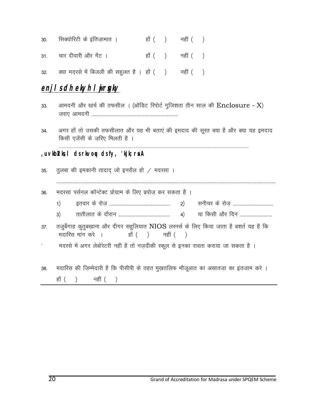| 30.     सिक्योरिटी के इतिजामात । | हाँ () नहीं () |  |
|----------------------------------|----------------|--|
| 31.       चार दीवारी और गैट ।    | हाँ () नहीं () |  |

32. *क्या मदरसे में बिजली की सह़्लत है* । हाँ () नहीं ()

### **enjis dh ekyh lujrgky**

- 33. अामदनी और खर्च की तफसील । (ऑडिट रिपोर्ट गुजिशता तीन साल की Enclosure X)  *t+jk, vkenuh ----------------------------------------------------------------------------*
- 34. अगर हाँ तो उसकी तफसीलात और यह भी बताएं की इमदाद की सूरत क्या है और क्या यह इमदाद *किसी एजेंसी के जरिए मिलती है।*

#### **,uvkbZvks,l ds rkvoqu ds fy, 'kjk;rsa A**

35. *तुलबा की इमकानी तादाद् जो इनरौल हो / मदरसा* ।

| 36. |  | मदरसा पर्सनल कॉन्टेक्ट प्रोग्राम के लिए प्रपोज़ कर सकता है । |  |  |  |  |
|-----|--|--------------------------------------------------------------|--|--|--|--|
|     |  |                                                              |  |  |  |  |

 *1½ brokj d s jk st + ----------------------------------------------------- 2½ luhpj ds jk st + -----------------------------------* 

 *-------------------------------------------------------------------------------------------------------------------------------------------------------------------------------------------------* 

- *3½ rkrhykr ds nk Sjku --------------------------------------------- 4½ ;k fdlh vk Sj fnu ----------------------------*
- 37. तजुर्बेगाह कुतुबख़ाना और दीगर सहुलियात NIOS लरनर्स के लिए किया जाता है बशर्त यह है कि मदारिस मांग करे । हाँ ( ) नहीं ( )
- *\* enjls e sa vxj y sck sjsVjh ugha gS rk s ut +nhdh Ld wy ls budk jkork djk;k tk ldrk gS A*
- 38. मदारिस की जिम्मेदारी है कि पीसीपी के तहत मुखतलिफ मौजूआत का असातज़ा का इतजाम करे । हाँ () नहीं ()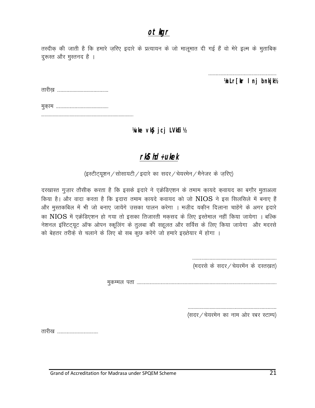### otkgr

तस्दीक़ की जाती है कि हमारे ज़रिए इदारे के प्रत्यायन के जो मालूमात दी गई हैं वो मेरे इल्म के मुताबिक़ दुरूस्त और मुस्तनद है ।

VnLr[kr I nj bnkjk½

Vuke vkg jcj LVkEi 1/2

### rkg hd+ ukek

(इस्टीट्यूशन / सोसायटी / इदारे का सदर / चेयरमेन / मैनेजर के ज़रिए)

दरखास्त गुज़ार तौसीक करता है कि इसके इदारे ने एक्रेडिएशन के तमाम कायदे कवायद का बग़ौर मुताअला किया है। और वादा करता है कि इदारा तमाम कायदे कवायद को जो NIOS ने इस सिलसिले में बनाए हैं और मुस्तकबिल में भी जो बनाए जायेंगे उसका पालन करेगा । मज़ीद यक़ीन दिलाना चाहेंगे के अगर इदारे का NIOS में एक्रेडिएशन हो गया तो इसका तिजारती मकसद के लिए इस्तेमाल नहीं किया जायेगा । बल्कि नेशनल इंस्टिट्यूट ऑफ ओपन स्कूलिंग के तुलबा की सहूलत और सर्विस के लिए किया जायेगा और मदरसे को बेहतर तरीक़े से चलाने के लिए बो सब कुछ करेंगे जो हमारे इख्तेयार में होगा ।

(मदरसे के सदर / चेयरमेंन के दस्तखत)

(सदर / चेयरमेन का नाम ओर रबर स्टाम्प)

तारीख ..................................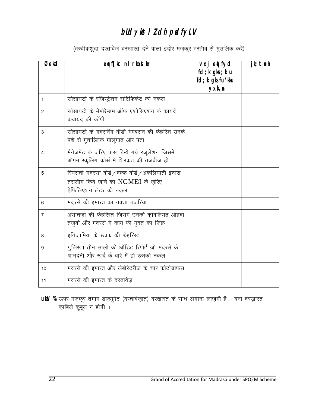### blldykst I Z dh psdfyLV

(तस्दीकशुदा दस्तावेज़ दरख़ास्त देने वाला इदोर मज़कूर तरतीब से मुंसलिक करें)

| $\overline{O}$ ekad | erf[kc nl rkostkr                                                                                            | vxj ed fyd<br>fd; k gks; k u<br>fd; k gks fu'kku<br>yxk, a | $jk;$ tuh |
|---------------------|--------------------------------------------------------------------------------------------------------------|------------------------------------------------------------|-----------|
| 1                   | सोसायटी के रजिस्ट्रेशन सर्टिफिकेट की नकल                                                                     |                                                            |           |
| 2                   | सोसायटी के मेमोरेन्डम ऑफ एशोसिएशन के कायदे<br>कवायद की कॉपी                                                  |                                                            |           |
| 3                   | सोसायटी के गवरनिंग वॉडी मेमबरान की फेहरिश उनके<br>पेशे से मुताल्लिक मालूमात और पता                           |                                                            |           |
| 4                   | मैनेजमेंट के ज़रिए पास किये गये रजूलेशन जिसमें<br>ओपन स्कूलिंग कोर्स में शिरकत की तजवीज़ हो                  |                                                            |           |
| 5                   | रियसती मदरसा बोर्ड / वक्फ बोर्ड / अकलियाती इदारा<br>तसलीम किये जाने का NCMEI के जरिए<br>ऐफिलिएशन लेटर की नकल |                                                            |           |
| 6                   | मदरसे की इमारत का नक्शा नजरिया                                                                               |                                                            |           |
| $\overline{7}$      | असातजा की फेहरिस्त जिसमें उनकी काबलियत ओहदा<br>तजुर्बा और मदरसे में काम की मुदत का ज़िक्र                    |                                                            |           |
| 8                   | इंतिजामिया के स्टाफ की फेहरिस्त                                                                              |                                                            |           |
| 9                   | गुजिस्ता तीन सालों की ऑडिट रिपोर्ट जो मदरसे के<br>आमदनी और खर्च के बारे में हो उसकी नकल                      |                                                            |           |
| 10                  | मदरसे की इमारत और लेबोरेटरीज के चार फोटोग्राफस                                                               |                                                            |           |
| 11                  | मदरसे की इमारत के दस्तावेज                                                                                   |                                                            |           |

uky % ऊपर मज़कूर तमाम डाक्यूमेंट (दस्तावेज़ात) दरखास्त के साथ लगाना लाज़मी है । वर्ना दरख़ास्त काबिले कुबूल न होगी ।